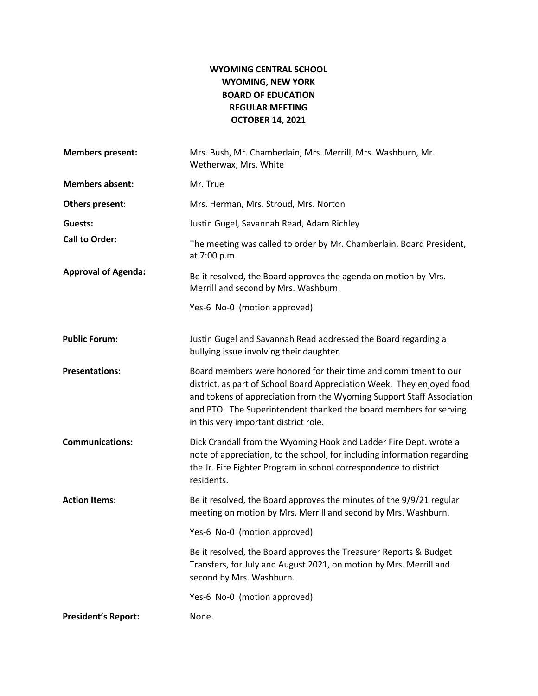## **WYOMING CENTRAL SCHOOL WYOMING, NEW YORK BOARD OF EDUCATION REGULAR MEETING OCTOBER 14, 2021**

| <b>Members present:</b>    | Mrs. Bush, Mr. Chamberlain, Mrs. Merrill, Mrs. Washburn, Mr.<br>Wetherwax, Mrs. White                                                                                                                                                                                                                                            |
|----------------------------|----------------------------------------------------------------------------------------------------------------------------------------------------------------------------------------------------------------------------------------------------------------------------------------------------------------------------------|
| <b>Members absent:</b>     | Mr. True                                                                                                                                                                                                                                                                                                                         |
| Others present:            | Mrs. Herman, Mrs. Stroud, Mrs. Norton                                                                                                                                                                                                                                                                                            |
| Guests:                    | Justin Gugel, Savannah Read, Adam Richley                                                                                                                                                                                                                                                                                        |
| <b>Call to Order:</b>      | The meeting was called to order by Mr. Chamberlain, Board President,<br>at 7:00 p.m.                                                                                                                                                                                                                                             |
| <b>Approval of Agenda:</b> | Be it resolved, the Board approves the agenda on motion by Mrs.<br>Merrill and second by Mrs. Washburn.                                                                                                                                                                                                                          |
|                            | Yes-6 No-0 (motion approved)                                                                                                                                                                                                                                                                                                     |
| <b>Public Forum:</b>       | Justin Gugel and Savannah Read addressed the Board regarding a<br>bullying issue involving their daughter.                                                                                                                                                                                                                       |
| <b>Presentations:</b>      | Board members were honored for their time and commitment to our<br>district, as part of School Board Appreciation Week. They enjoyed food<br>and tokens of appreciation from the Wyoming Support Staff Association<br>and PTO. The Superintendent thanked the board members for serving<br>in this very important district role. |
| <b>Communications:</b>     | Dick Crandall from the Wyoming Hook and Ladder Fire Dept. wrote a<br>note of appreciation, to the school, for including information regarding<br>the Jr. Fire Fighter Program in school correspondence to district<br>residents.                                                                                                 |
| <b>Action Items:</b>       | Be it resolved, the Board approves the minutes of the 9/9/21 regular<br>meeting on motion by Mrs. Merrill and second by Mrs. Washburn.                                                                                                                                                                                           |
|                            | Yes-6 No-0 (motion approved)                                                                                                                                                                                                                                                                                                     |
|                            | Be it resolved, the Board approves the Treasurer Reports & Budget<br>Transfers, for July and August 2021, on motion by Mrs. Merrill and<br>second by Mrs. Washburn.                                                                                                                                                              |
|                            | Yes-6 No-0 (motion approved)                                                                                                                                                                                                                                                                                                     |
| <b>President's Report:</b> | None.                                                                                                                                                                                                                                                                                                                            |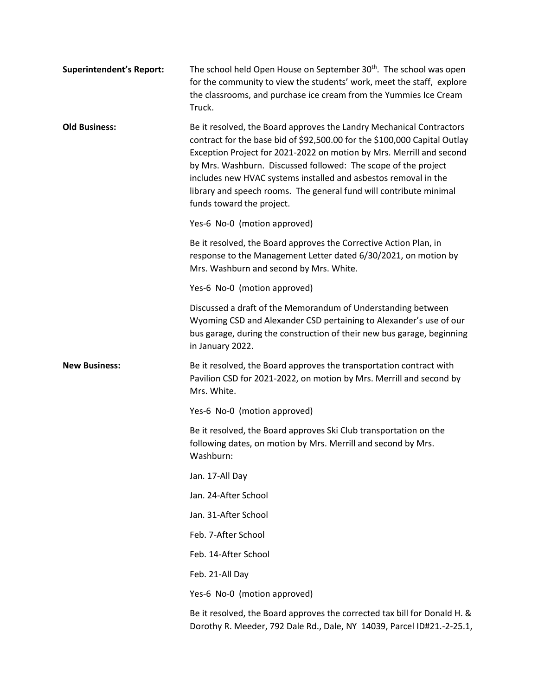| <b>Superintendent's Report:</b> | The school held Open House on September 30 <sup>th</sup> . The school was open<br>for the community to view the students' work, meet the staff, explore<br>the classrooms, and purchase ice cream from the Yummies Ice Cream<br>Truck.                                                                                                                                                                                                                            |
|---------------------------------|-------------------------------------------------------------------------------------------------------------------------------------------------------------------------------------------------------------------------------------------------------------------------------------------------------------------------------------------------------------------------------------------------------------------------------------------------------------------|
| <b>Old Business:</b>            | Be it resolved, the Board approves the Landry Mechanical Contractors<br>contract for the base bid of \$92,500.00 for the \$100,000 Capital Outlay<br>Exception Project for 2021-2022 on motion by Mrs. Merrill and second<br>by Mrs. Washburn. Discussed followed: The scope of the project<br>includes new HVAC systems installed and asbestos removal in the<br>library and speech rooms. The general fund will contribute minimal<br>funds toward the project. |
|                                 | Yes-6 No-0 (motion approved)                                                                                                                                                                                                                                                                                                                                                                                                                                      |
|                                 | Be it resolved, the Board approves the Corrective Action Plan, in<br>response to the Management Letter dated 6/30/2021, on motion by<br>Mrs. Washburn and second by Mrs. White.                                                                                                                                                                                                                                                                                   |
|                                 | Yes-6 No-0 (motion approved)                                                                                                                                                                                                                                                                                                                                                                                                                                      |
|                                 | Discussed a draft of the Memorandum of Understanding between<br>Wyoming CSD and Alexander CSD pertaining to Alexander's use of our<br>bus garage, during the construction of their new bus garage, beginning<br>in January 2022.                                                                                                                                                                                                                                  |
| <b>New Business:</b>            | Be it resolved, the Board approves the transportation contract with<br>Pavilion CSD for 2021-2022, on motion by Mrs. Merrill and second by<br>Mrs. White.                                                                                                                                                                                                                                                                                                         |
|                                 | Yes-6 No-0 (motion approved)                                                                                                                                                                                                                                                                                                                                                                                                                                      |
|                                 | Be it resolved, the Board approves Ski Club transportation on the<br>following dates, on motion by Mrs. Merrill and second by Mrs.<br>Washburn:                                                                                                                                                                                                                                                                                                                   |
|                                 | Jan. 17-All Day                                                                                                                                                                                                                                                                                                                                                                                                                                                   |
|                                 | Jan. 24-After School                                                                                                                                                                                                                                                                                                                                                                                                                                              |
|                                 | Jan. 31-After School                                                                                                                                                                                                                                                                                                                                                                                                                                              |
|                                 | Feb. 7-After School                                                                                                                                                                                                                                                                                                                                                                                                                                               |
|                                 | Feb. 14-After School                                                                                                                                                                                                                                                                                                                                                                                                                                              |
|                                 | Feb. 21-All Day                                                                                                                                                                                                                                                                                                                                                                                                                                                   |
|                                 | Yes-6 No-0 (motion approved)                                                                                                                                                                                                                                                                                                                                                                                                                                      |
|                                 | Be it resolved, the Board approves the corrected tax bill for Donald H. &<br>Dorothy R. Meeder, 792 Dale Rd., Dale, NY 14039, Parcel ID#21.-2-25.1,                                                                                                                                                                                                                                                                                                               |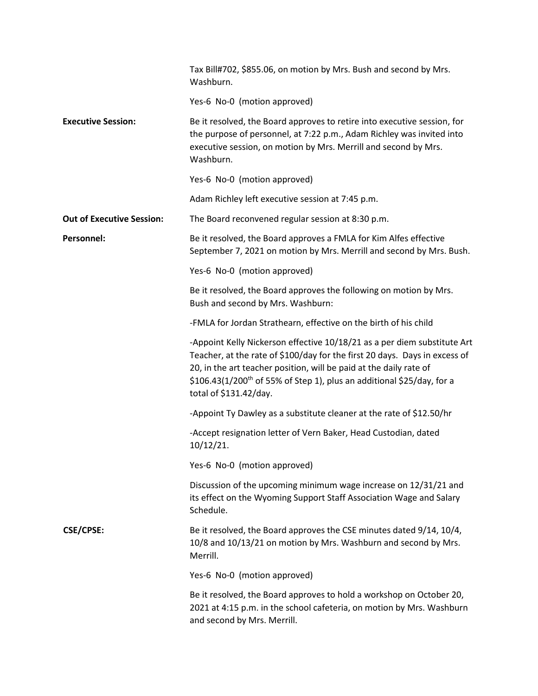|                                  | Tax Bill#702, \$855.06, on motion by Mrs. Bush and second by Mrs.<br>Washburn.                                                                                                                                                                                                                                                      |
|----------------------------------|-------------------------------------------------------------------------------------------------------------------------------------------------------------------------------------------------------------------------------------------------------------------------------------------------------------------------------------|
|                                  | Yes-6 No-0 (motion approved)                                                                                                                                                                                                                                                                                                        |
| <b>Executive Session:</b>        | Be it resolved, the Board approves to retire into executive session, for<br>the purpose of personnel, at 7:22 p.m., Adam Richley was invited into<br>executive session, on motion by Mrs. Merrill and second by Mrs.<br>Washburn.                                                                                                   |
|                                  | Yes-6 No-0 (motion approved)                                                                                                                                                                                                                                                                                                        |
|                                  | Adam Richley left executive session at 7:45 p.m.                                                                                                                                                                                                                                                                                    |
| <b>Out of Executive Session:</b> | The Board reconvened regular session at 8:30 p.m.                                                                                                                                                                                                                                                                                   |
| Personnel:                       | Be it resolved, the Board approves a FMLA for Kim Alfes effective<br>September 7, 2021 on motion by Mrs. Merrill and second by Mrs. Bush.                                                                                                                                                                                           |
|                                  | Yes-6 No-0 (motion approved)                                                                                                                                                                                                                                                                                                        |
|                                  | Be it resolved, the Board approves the following on motion by Mrs.<br>Bush and second by Mrs. Washburn:                                                                                                                                                                                                                             |
|                                  | -FMLA for Jordan Strathearn, effective on the birth of his child                                                                                                                                                                                                                                                                    |
|                                  | -Appoint Kelly Nickerson effective 10/18/21 as a per diem substitute Art<br>Teacher, at the rate of \$100/day for the first 20 days. Days in excess of<br>20, in the art teacher position, will be paid at the daily rate of<br>$$106.43(1/200th$ of 55% of Step 1), plus an additional $$25/day$ , for a<br>total of \$131.42/day. |
|                                  | -Appoint Ty Dawley as a substitute cleaner at the rate of \$12.50/hr                                                                                                                                                                                                                                                                |
|                                  | -Accept resignation letter of Vern Baker, Head Custodian, dated<br>10/12/21.                                                                                                                                                                                                                                                        |
|                                  | Yes-6 No-0 (motion approved)                                                                                                                                                                                                                                                                                                        |
|                                  | Discussion of the upcoming minimum wage increase on 12/31/21 and<br>its effect on the Wyoming Support Staff Association Wage and Salary<br>Schedule.                                                                                                                                                                                |
| <b>CSE/CPSE:</b>                 | Be it resolved, the Board approves the CSE minutes dated 9/14, 10/4,<br>10/8 and 10/13/21 on motion by Mrs. Washburn and second by Mrs.<br>Merrill.                                                                                                                                                                                 |
|                                  | Yes-6 No-0 (motion approved)                                                                                                                                                                                                                                                                                                        |
|                                  | Be it resolved, the Board approves to hold a workshop on October 20,<br>2021 at 4:15 p.m. in the school cafeteria, on motion by Mrs. Washburn<br>and second by Mrs. Merrill.                                                                                                                                                        |